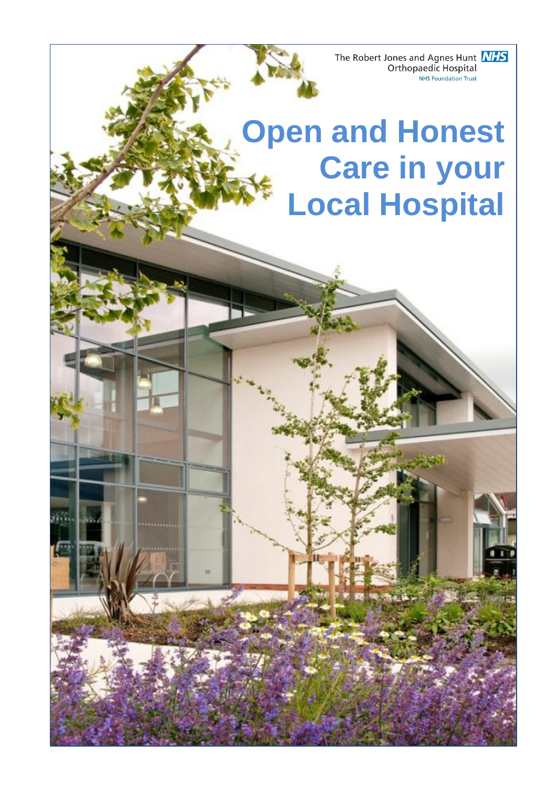The Robert Jones and Agnes Hunt **NHS** Orthopaedic Hospital **NHS Foundation Trust** 

# **Open and Honest Care in your Local Hospital**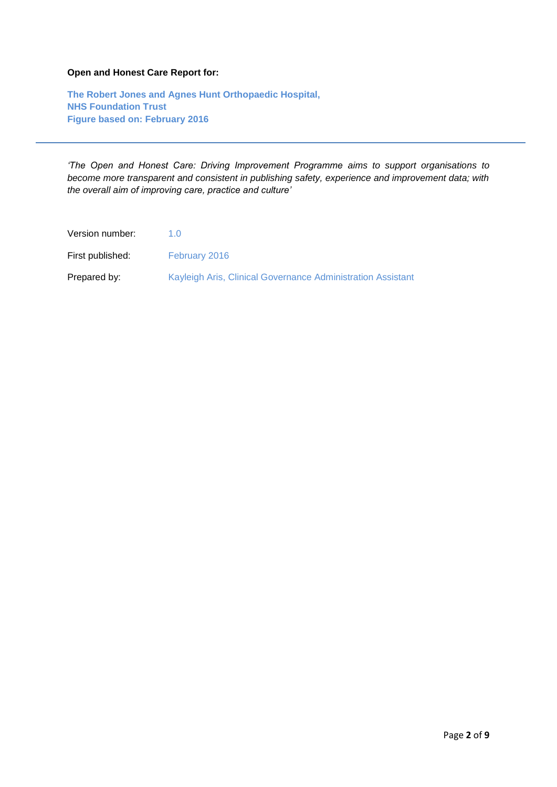#### **Open and Honest Care Report for:**

**The Robert Jones and Agnes Hunt Orthopaedic Hospital, NHS Foundation Trust Figure based on: February 2016** 

*'The Open and Honest Care: Driving Improvement Programme aims to support organisations to become more transparent and consistent in publishing safety, experience and improvement data; with the overall aim of improving care, practice and culture'*

Version number: 1.0 First published: February 2016 Prepared by: Kayleigh Aris, Clinical Governance Administration Assistant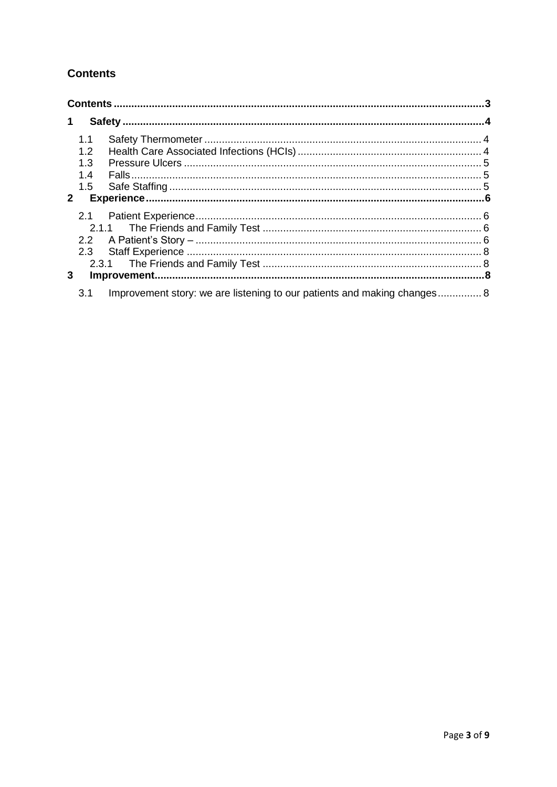# <span id="page-2-0"></span>**Contents**

|              | 1.1<br>1.2                                                                      |  |  |
|--------------|---------------------------------------------------------------------------------|--|--|
|              | 1.3                                                                             |  |  |
|              | 1.4<br>$1.5^{\circ}$                                                            |  |  |
| $\mathbf{2}$ |                                                                                 |  |  |
|              |                                                                                 |  |  |
|              |                                                                                 |  |  |
|              | 2.3                                                                             |  |  |
| 3            |                                                                                 |  |  |
|              | Improvement story: we are listening to our patients and making changes 8<br>3.1 |  |  |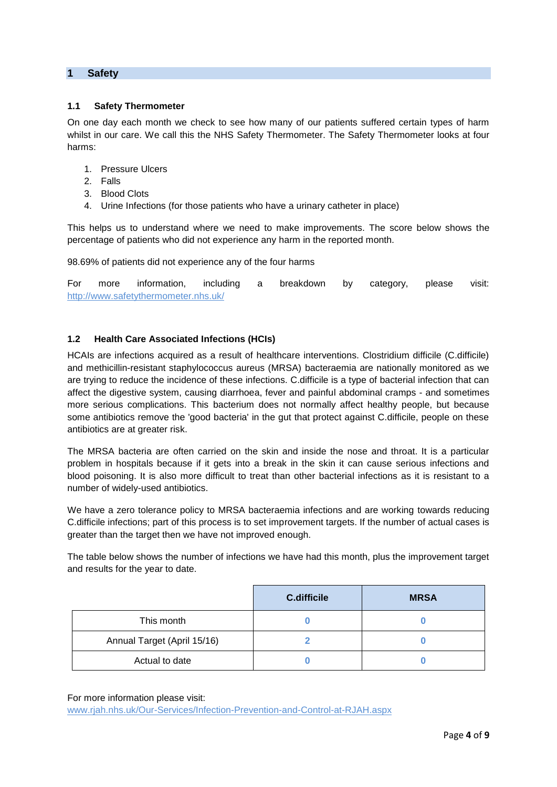#### <span id="page-3-0"></span>**1 Safety**

#### <span id="page-3-1"></span>**1.1 Safety Thermometer**

On one day each month we check to see how many of our patients suffered certain types of harm whilst in our care. We call this the NHS Safety Thermometer. The Safety Thermometer looks at four harms:

- 1. Pressure Ulcers
- 2. Falls
- 3. Blood Clots
- 4. Urine Infections (for those patients who have a urinary catheter in place)

This helps us to understand where we need to make improvements. The score below shows the percentage of patients who did not experience any harm in the reported month.

98.69% of patients did not experience any of the four harms

For more information, including a breakdown by category, please visit: <http://www.safetythermometer.nhs.uk/>

#### <span id="page-3-2"></span>**1.2 Health Care Associated Infections (HCIs)**

HCAIs are infections acquired as a result of healthcare interventions. Clostridium difficile (C.difficile) and methicillin-resistant staphylococcus aureus (MRSA) bacteraemia are nationally monitored as we are trying to reduce the incidence of these infections. C.difficile is a type of bacterial infection that can affect the digestive system, causing diarrhoea, fever and painful abdominal cramps - and sometimes more serious complications. This bacterium does not normally affect healthy people, but because some antibiotics remove the 'good bacteria' in the gut that protect against C.difficile, people on these antibiotics are at greater risk.

The MRSA bacteria are often carried on the skin and inside the nose and throat. It is a particular problem in hospitals because if it gets into a break in the skin it can cause serious infections and blood poisoning. It is also more difficult to treat than other bacterial infections as it is resistant to a number of widely-used antibiotics.

We have a zero tolerance policy to MRSA bacteraemia infections and are working towards reducing C.difficile infections; part of this process is to set improvement targets. If the number of actual cases is greater than the target then we have not improved enough.

The table below shows the number of infections we have had this month, plus the improvement target and results for the year to date.

|                             | C.difficile | <b>MRSA</b> |
|-----------------------------|-------------|-------------|
| This month                  |             |             |
| Annual Target (April 15/16) |             |             |
| Actual to date              |             |             |

For more information please visit:

[www.rjah.nhs.uk/Our-Services/Infection-Prevention-and-Control-at-RJAH.aspx](http://www.rjah.nhs.uk/Our-Services/Infection-Prevention-and-Control-at-RJAH.aspx)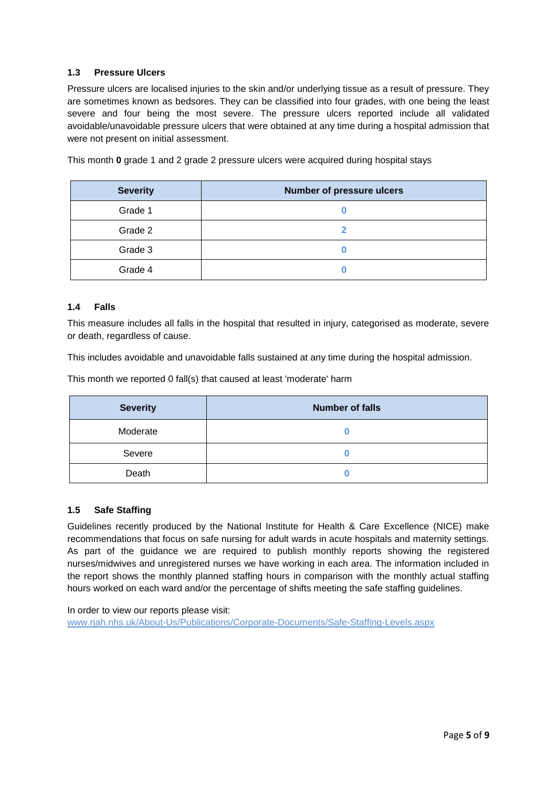#### <span id="page-4-0"></span>**1.3 Pressure Ulcers**

Pressure ulcers are localised injuries to the skin and/or underlying tissue as a result of pressure. They are sometimes known as bedsores. They can be classified into four grades, with one being the least severe and four being the most severe. The pressure ulcers reported include all validated avoidable/unavoidable pressure ulcers that were obtained at any time during a hospital admission that were not present on initial assessment.

This month **0** grade 1 and 2 grade 2 pressure ulcers were acquired during hospital stays

| <b>Severity</b> | <b>Number of pressure ulcers</b> |
|-----------------|----------------------------------|
| Grade 1         |                                  |
| Grade 2         |                                  |
| Grade 3         |                                  |
| Grade 4         |                                  |

#### <span id="page-4-1"></span>**1.4 Falls**

This measure includes all falls in the hospital that resulted in injury, categorised as moderate, severe or death, regardless of cause.

This includes avoidable and unavoidable falls sustained at any time during the hospital admission.

This month we reported 0 fall(s) that caused at least 'moderate' harm

| <b>Severity</b> | <b>Number of falls</b> |
|-----------------|------------------------|
| Moderate        |                        |
| Severe          |                        |
| Death           |                        |

#### <span id="page-4-2"></span>**1.5 Safe Staffing**

Guidelines recently produced by the National Institute for Health & Care Excellence (NICE) make recommendations that focus on safe nursing for adult wards in acute hospitals and maternity settings. As part of the guidance we are required to publish monthly reports showing the registered nurses/midwives and unregistered nurses we have working in each area. The information included in the report shows the monthly planned staffing hours in comparison with the monthly actual staffing hours worked on each ward and/or the percentage of shifts meeting the safe staffing guidelines.

In order to view our reports please visit: [www.rjah.nhs.uk/About-Us/Publications/Corporate-Documents/Safe-Staffing-Levels.aspx](http://www.rjah.nhs.uk/About-Us/Publications/Corporate-Documents/Safe-Staffing-Levels.aspx)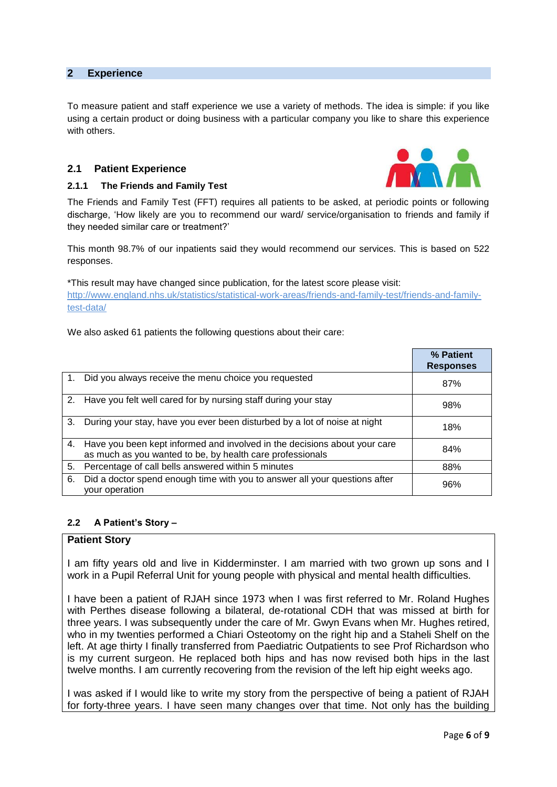#### <span id="page-5-0"></span>**2 Experience**

To measure patient and staff experience we use a variety of methods. The idea is simple: if you like using a certain product or doing business with a particular company you like to share this experience with others.

#### <span id="page-5-1"></span>**2.1 Patient Experience**

#### <span id="page-5-2"></span>**2.1.1 The Friends and Family Test**

The Friends and Family Test (FFT) requires all patients to be asked, at periodic points or following discharge, 'How likely are you to recommend our ward/ service/organisation to friends and family if they needed similar care or treatment?'

This month 98.7% of our inpatients said they would recommend our services. This is based on 522 responses.

\*This result may have changed since publication, for the latest score please visit: [http://www.england.nhs.uk/statistics/statistical-work-areas/friends-and-family-test/friends-and-family](http://www.england.nhs.uk/statistics/statistical-work-areas/friends-and-family-test/friends-and-family-test-data/)[test-data/](http://www.england.nhs.uk/statistics/statistical-work-areas/friends-and-family-test/friends-and-family-test-data/)

We also asked 61 patients the following questions about their care:

|                |                                                                                                                                        | % Patient<br><b>Responses</b> |
|----------------|----------------------------------------------------------------------------------------------------------------------------------------|-------------------------------|
| $\mathbf{1}$ . | Did you always receive the menu choice you requested                                                                                   | 87%                           |
|                | 2. Have you felt well cared for by nursing staff during your stay                                                                      | 98%                           |
| 3.             | During your stay, have you ever been disturbed by a lot of noise at night                                                              | 18%                           |
| 4.             | Have you been kept informed and involved in the decisions about your care<br>as much as you wanted to be, by health care professionals | 84%                           |
| 5.             | Percentage of call bells answered within 5 minutes                                                                                     | 88%                           |
| 6.             | Did a doctor spend enough time with you to answer all your questions after<br>your operation                                           | 96%                           |

#### <span id="page-5-3"></span>**2.2 A Patient's Story –**

#### **Patient Story**

I am fifty years old and live in Kidderminster. I am married with two grown up sons and I work in a Pupil Referral Unit for young people with physical and mental health difficulties.

I have been a patient of RJAH since 1973 when I was first referred to Mr. Roland Hughes with Perthes disease following a bilateral, de-rotational CDH that was missed at birth for three years. I was subsequently under the care of Mr. Gwyn Evans when Mr. Hughes retired, who in my twenties performed a Chiari Osteotomy on the right hip and a Staheli Shelf on the left. At age thirty I finally transferred from Paediatric Outpatients to see Prof Richardson who is my current surgeon. He replaced both hips and has now revised both hips in the last twelve months. I am currently recovering from the revision of the left hip eight weeks ago.

I was asked if I would like to write my story from the perspective of being a patient of RJAH for forty-three years. I have seen many changes over that time. Not only has the building

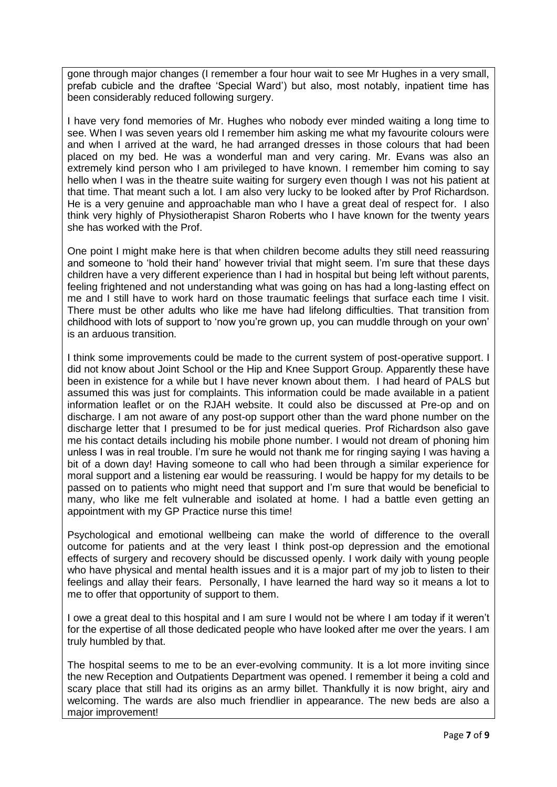gone through major changes (I remember a four hour wait to see Mr Hughes in a very small, prefab cubicle and the draftee 'Special Ward') but also, most notably, inpatient time has been considerably reduced following surgery.

I have very fond memories of Mr. Hughes who nobody ever minded waiting a long time to see. When I was seven years old I remember him asking me what my favourite colours were and when I arrived at the ward, he had arranged dresses in those colours that had been placed on my bed. He was a wonderful man and very caring. Mr. Evans was also an extremely kind person who I am privileged to have known. I remember him coming to say hello when I was in the theatre suite waiting for surgery even though I was not his patient at that time. That meant such a lot. I am also very lucky to be looked after by Prof Richardson. He is a very genuine and approachable man who I have a great deal of respect for. I also think very highly of Physiotherapist Sharon Roberts who I have known for the twenty years she has worked with the Prof.

One point I might make here is that when children become adults they still need reassuring and someone to 'hold their hand' however trivial that might seem. I'm sure that these days children have a very different experience than I had in hospital but being left without parents, feeling frightened and not understanding what was going on has had a long-lasting effect on me and I still have to work hard on those traumatic feelings that surface each time I visit. There must be other adults who like me have had lifelong difficulties. That transition from childhood with lots of support to 'now you're grown up, you can muddle through on your own' is an arduous transition.

I think some improvements could be made to the current system of post-operative support. I did not know about Joint School or the Hip and Knee Support Group. Apparently these have been in existence for a while but I have never known about them. I had heard of PALS but assumed this was just for complaints. This information could be made available in a patient information leaflet or on the RJAH website. It could also be discussed at Pre-op and on discharge. I am not aware of any post-op support other than the ward phone number on the discharge letter that I presumed to be for just medical queries. Prof Richardson also gave me his contact details including his mobile phone number. I would not dream of phoning him unless I was in real trouble. I'm sure he would not thank me for ringing saying I was having a bit of a down day! Having someone to call who had been through a similar experience for moral support and a listening ear would be reassuring. I would be happy for my details to be passed on to patients who might need that support and I'm sure that would be beneficial to many, who like me felt vulnerable and isolated at home. I had a battle even getting an appointment with my GP Practice nurse this time!

Psychological and emotional wellbeing can make the world of difference to the overall outcome for patients and at the very least I think post-op depression and the emotional effects of surgery and recovery should be discussed openly. I work daily with young people who have physical and mental health issues and it is a major part of my job to listen to their feelings and allay their fears. Personally, I have learned the hard way so it means a lot to me to offer that opportunity of support to them.

I owe a great deal to this hospital and I am sure I would not be where I am today if it weren't for the expertise of all those dedicated people who have looked after me over the years. I am truly humbled by that.

The hospital seems to me to be an ever-evolving community. It is a lot more inviting since the new Reception and Outpatients Department was opened. I remember it being a cold and scary place that still had its origins as an army billet. Thankfully it is now bright, airy and welcoming. The wards are also much friendlier in appearance. The new beds are also a major improvement!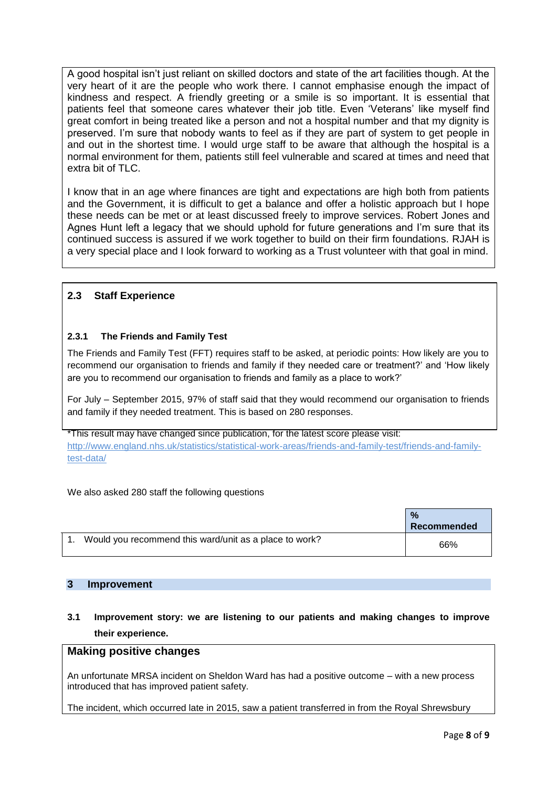A good hospital isn't just reliant on skilled doctors and state of the art facilities though. At the very heart of it are the people who work there. I cannot emphasise enough the impact of kindness and respect. A friendly greeting or a smile is so important. It is essential that patients feel that someone cares whatever their job title. Even 'Veterans' like myself find great comfort in being treated like a person and not a hospital number and that my dignity is preserved. I'm sure that nobody wants to feel as if they are part of system to get people in and out in the shortest time. I would urge staff to be aware that although the hospital is a normal environment for them, patients still feel vulnerable and scared at times and need that extra bit of TLC.

I know that in an age where finances are tight and expectations are high both from patients and the Government, it is difficult to get a balance and offer a holistic approach but I hope these needs can be met or at least discussed freely to improve services. Robert Jones and Agnes Hunt left a legacy that we should uphold for future generations and I'm sure that its continued success is assured if we work together to build on their firm foundations. RJAH is a very special place and I look forward to working as a Trust volunteer with that goal in mind.

# <span id="page-7-0"></span>**2.3 Staff Experience**

# <span id="page-7-1"></span>**2.3.1 The Friends and Family Test**

The Friends and Family Test (FFT) requires staff to be asked, at periodic points: How likely are you to recommend our organisation to friends and family if they needed care or treatment?' and 'How likely are you to recommend our organisation to friends and family as a place to work?'

For July – September 2015, 97% of staff said that they would recommend our organisation to friends and family if they needed treatment. This is based on 280 responses.

\*This result may have changed since publication, for the latest score please visit: [http://www.england.nhs.uk/statistics/statistical-work-areas/friends-and-family-test/friends-and-family](http://www.england.nhs.uk/statistics/statistical-work-areas/friends-and-family-test/friends-and-family-test-data/)[test-data/](http://www.england.nhs.uk/statistics/statistical-work-areas/friends-and-family-test/friends-and-family-test-data/)

We also asked 280 staff the following questions

|                                                        | $\frac{0}{2}$<br><b>Recommended</b> |
|--------------------------------------------------------|-------------------------------------|
| Would you recommend this ward/unit as a place to work? | 66%                                 |

# <span id="page-7-2"></span>**3 Improvement**

# <span id="page-7-3"></span>**3.1 Improvement story: we are listening to our patients and making changes to improve their experience.**

# **Making positive changes**

An unfortunate MRSA incident on Sheldon Ward has had a positive outcome – with a new process introduced that has improved patient safety.

The incident, which occurred late in 2015, saw a patient transferred in from the Royal Shrewsbury